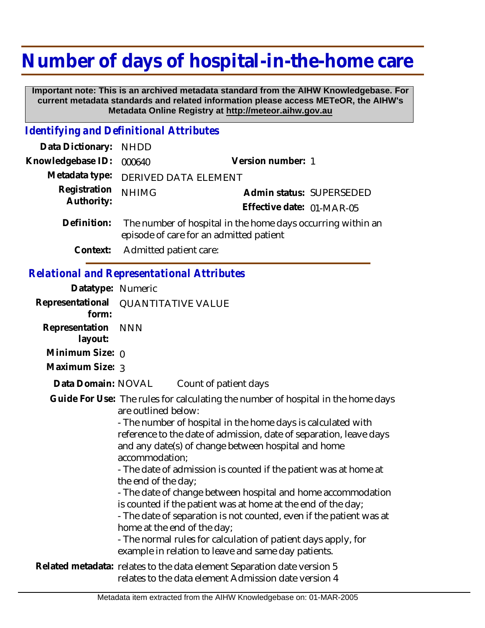## **Number of days of hospital-in-the-home care**

 **Important note: This is an archived metadata standard from the AIHW Knowledgebase. For current metadata standards and related information please access METeOR, the AIHW's Metadata Online Registry at http://meteor.aihw.gov.au**

## *Identifying and Definitional Attributes*

| Data Dictionary:                                  | <b>NHDD</b>                                                                                            |                                                                                                                                                                                                                                                                                                                                                            |  |
|---------------------------------------------------|--------------------------------------------------------------------------------------------------------|------------------------------------------------------------------------------------------------------------------------------------------------------------------------------------------------------------------------------------------------------------------------------------------------------------------------------------------------------------|--|
| Knowledgebase ID:                                 | 000640                                                                                                 | Version number: 1                                                                                                                                                                                                                                                                                                                                          |  |
| Metadata type:                                    | DERIVED DATA ELEMENT                                                                                   |                                                                                                                                                                                                                                                                                                                                                            |  |
| Registration<br>Authority:                        | <b>NHIMG</b>                                                                                           | Admin status: SUPERSEDED<br>Effective date: 01-MAR-05                                                                                                                                                                                                                                                                                                      |  |
| Definition:                                       | The number of hospital in the home days occurring within an<br>episode of care for an admitted patient |                                                                                                                                                                                                                                                                                                                                                            |  |
| Context:                                          | Admitted patient care:                                                                                 |                                                                                                                                                                                                                                                                                                                                                            |  |
| <b>Relational and Representational Attributes</b> |                                                                                                        |                                                                                                                                                                                                                                                                                                                                                            |  |
| Datatype: Numeric                                 |                                                                                                        |                                                                                                                                                                                                                                                                                                                                                            |  |
| Representational<br>form:                         |                                                                                                        | <b>QUANTITATIVE VALUE</b>                                                                                                                                                                                                                                                                                                                                  |  |
| Representation<br>layout:                         | <b>NNN</b>                                                                                             |                                                                                                                                                                                                                                                                                                                                                            |  |
| Minimum Size: $\rho$                              |                                                                                                        |                                                                                                                                                                                                                                                                                                                                                            |  |
| Maximum Size: 3                                   |                                                                                                        |                                                                                                                                                                                                                                                                                                                                                            |  |
| Data Domain: NOVAL                                |                                                                                                        | Count of patient days                                                                                                                                                                                                                                                                                                                                      |  |
|                                                   | are outlined below:<br>accommodation;<br>the end of the day;                                           | Guide For Use: The rules for calculating the number of hospital in the home days<br>- The number of hospital in the home days is calculated with<br>reference to the date of admission, date of separation, leave days<br>and any date(s) of change between hospital and home<br>- The date of admission is counted if the patient was at home at          |  |
|                                                   |                                                                                                        | - The date of change between hospital and home accommodation<br>is counted if the patient was at home at the end of the day;<br>- The date of separation is not counted, even if the patient was at<br>home at the end of the day;<br>- The normal rules for calculation of patient days apply, for<br>example in relation to leave and same day patients. |  |
|                                                   |                                                                                                        | a banda da a shekarar a shekarar a ta banda                                                                                                                                                                                                                                                                                                                |  |

Related metadata: relates to the data element Separation date version 5 relates to the data element Admission date version 4